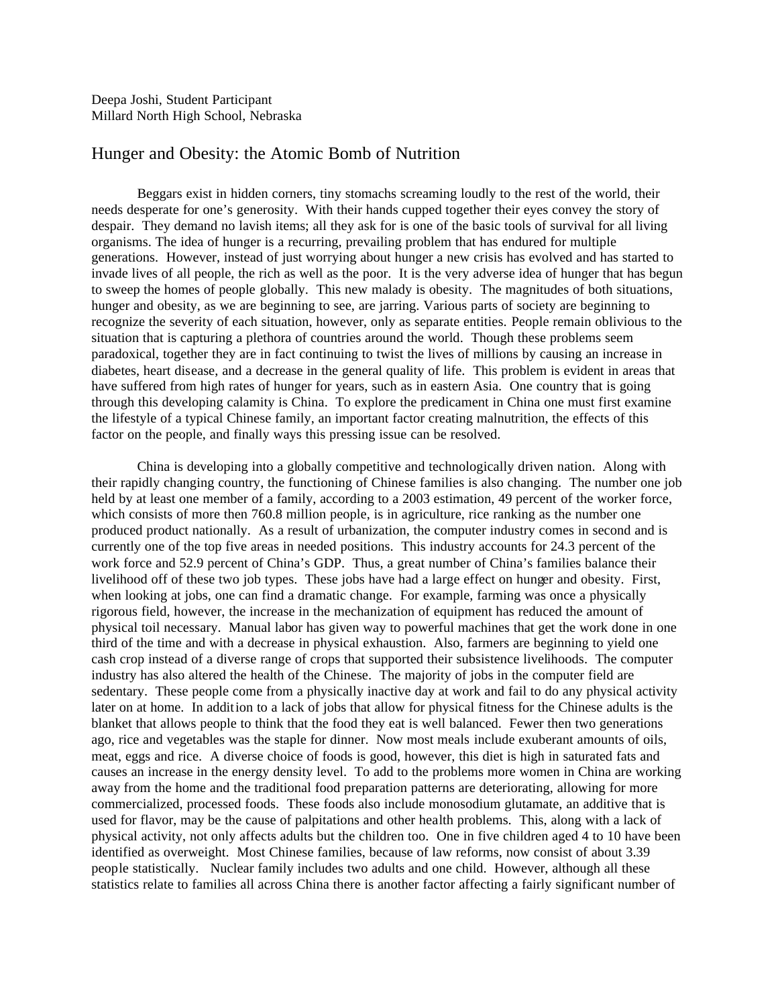## Hunger and Obesity: the Atomic Bomb of Nutrition

Beggars exist in hidden corners, tiny stomachs screaming loudly to the rest of the world, their needs desperate for one's generosity. With their hands cupped together their eyes convey the story of despair. They demand no lavish items; all they ask for is one of the basic tools of survival for all living organisms. The idea of hunger is a recurring, prevailing problem that has endured for multiple generations. However, instead of just worrying about hunger a new crisis has evolved and has started to invade lives of all people, the rich as well as the poor. It is the very adverse idea of hunger that has begun to sweep the homes of people globally. This new malady is obesity. The magnitudes of both situations, hunger and obesity, as we are beginning to see, are jarring. Various parts of society are beginning to recognize the severity of each situation, however, only as separate entities. People remain oblivious to the situation that is capturing a plethora of countries around the world. Though these problems seem paradoxical, together they are in fact continuing to twist the lives of millions by causing an increase in diabetes, heart disease, and a decrease in the general quality of life. This problem is evident in areas that have suffered from high rates of hunger for years, such as in eastern Asia. One country that is going through this developing calamity is China. To explore the predicament in China one must first examine the lifestyle of a typical Chinese family, an important factor creating malnutrition, the effects of this factor on the people, and finally ways this pressing issue can be resolved.

China is developing into a globally competitive and technologically driven nation. Along with their rapidly changing country, the functioning of Chinese families is also changing. The number one job held by at least one member of a family, according to a 2003 estimation, 49 percent of the worker force, which consists of more then 760.8 million people, is in agriculture, rice ranking as the number one produced product nationally. As a result of urbanization, the computer industry comes in second and is currently one of the top five areas in needed positions. This industry accounts for 24.3 percent of the work force and 52.9 percent of China's GDP. Thus, a great number of China's families balance their livelihood off of these two job types. These jobs have had a large effect on hunger and obesity. First, when looking at jobs, one can find a dramatic change. For example, farming was once a physically rigorous field, however, the increase in the mechanization of equipment has reduced the amount of physical toil necessary. Manual labor has given way to powerful machines that get the work done in one third of the time and with a decrease in physical exhaustion. Also, farmers are beginning to yield one cash crop instead of a diverse range of crops that supported their subsistence livelihoods. The computer industry has also altered the health of the Chinese. The majority of jobs in the computer field are sedentary. These people come from a physically inactive day at work and fail to do any physical activity later on at home. In addition to a lack of jobs that allow for physical fitness for the Chinese adults is the blanket that allows people to think that the food they eat is well balanced. Fewer then two generations ago, rice and vegetables was the staple for dinner. Now most meals include exuberant amounts of oils, meat, eggs and rice. A diverse choice of foods is good, however, this diet is high in saturated fats and causes an increase in the energy density level. To add to the problems more women in China are working away from the home and the traditional food preparation patterns are deteriorating, allowing for more commercialized, processed foods. These foods also include monosodium glutamate, an additive that is used for flavor, may be the cause of palpitations and other health problems. This, along with a lack of physical activity, not only affects adults but the children too. One in five children aged 4 to 10 have been identified as overweight. Most Chinese families, because of law reforms, now consist of about 3.39 people statistically. Nuclear family includes two adults and one child. However, although all these statistics relate to families all across China there is another factor affecting a fairly significant number of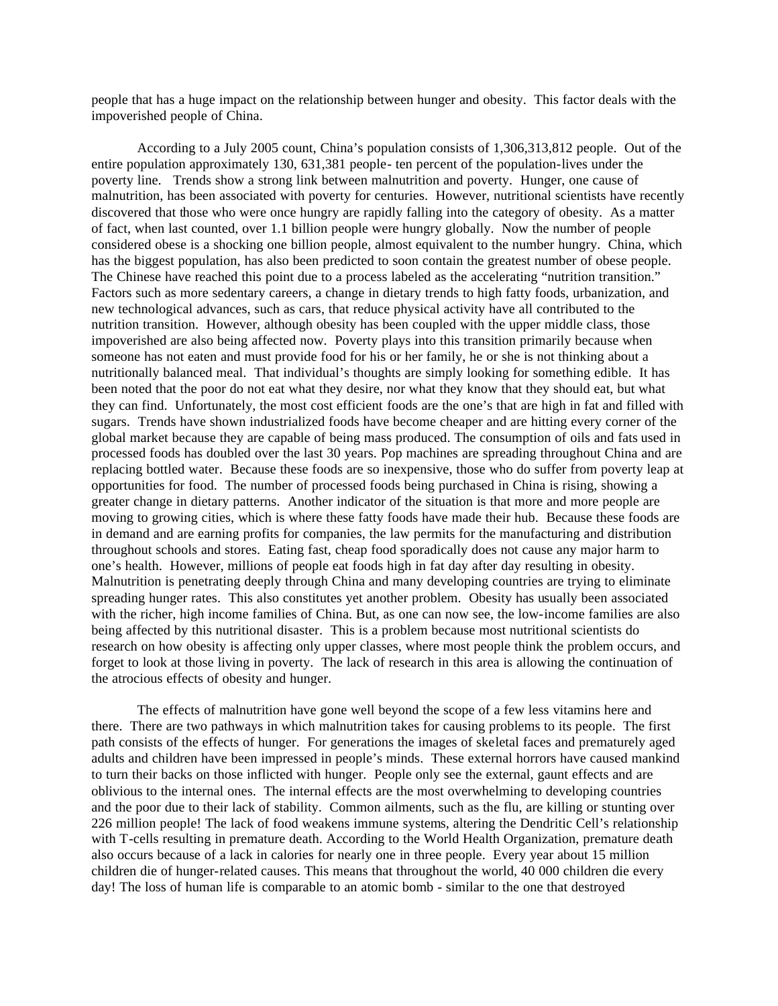people that has a huge impact on the relationship between hunger and obesity. This factor deals with the impoverished people of China.

According to a July 2005 count, China's population consists of 1,306,313,812 people. Out of the entire population approximately 130, 631,381 people- ten percent of the population-lives under the poverty line. Trends show a strong link between malnutrition and poverty. Hunger, one cause of malnutrition, has been associated with poverty for centuries. However, nutritional scientists have recently discovered that those who were once hungry are rapidly falling into the category of obesity. As a matter of fact, when last counted, over 1.1 billion people were hungry globally. Now the number of people considered obese is a shocking one billion people, almost equivalent to the number hungry. China, which has the biggest population, has also been predicted to soon contain the greatest number of obese people. The Chinese have reached this point due to a process labeled as the accelerating "nutrition transition." Factors such as more sedentary careers, a change in dietary trends to high fatty foods, urbanization, and new technological advances, such as cars, that reduce physical activity have all contributed to the nutrition transition. However, although obesity has been coupled with the upper middle class, those impoverished are also being affected now. Poverty plays into this transition primarily because when someone has not eaten and must provide food for his or her family, he or she is not thinking about a nutritionally balanced meal. That individual's thoughts are simply looking for something edible. It has been noted that the poor do not eat what they desire, nor what they know that they should eat, but what they can find. Unfortunately, the most cost efficient foods are the one's that are high in fat and filled with sugars. Trends have shown industrialized foods have become cheaper and are hitting every corner of the global market because they are capable of being mass produced. The consumption of oils and fats used in processed foods has doubled over the last 30 years. Pop machines are spreading throughout China and are replacing bottled water. Because these foods are so inexpensive, those who do suffer from poverty leap at opportunities for food. The number of processed foods being purchased in China is rising, showing a greater change in dietary patterns. Another indicator of the situation is that more and more people are moving to growing cities, which is where these fatty foods have made their hub. Because these foods are in demand and are earning profits for companies, the law permits for the manufacturing and distribution throughout schools and stores. Eating fast, cheap food sporadically does not cause any major harm to one's health. However, millions of people eat foods high in fat day after day resulting in obesity. Malnutrition is penetrating deeply through China and many developing countries are trying to eliminate spreading hunger rates. This also constitutes yet another problem. Obesity has usually been associated with the richer, high income families of China. But, as one can now see, the low-income families are also being affected by this nutritional disaster. This is a problem because most nutritional scientists do research on how obesity is affecting only upper classes, where most people think the problem occurs, and forget to look at those living in poverty. The lack of research in this area is allowing the continuation of the atrocious effects of obesity and hunger.

The effects of malnutrition have gone well beyond the scope of a few less vitamins here and there. There are two pathways in which malnutrition takes for causing problems to its people. The first path consists of the effects of hunger. For generations the images of skeletal faces and prematurely aged adults and children have been impressed in people's minds. These external horrors have caused mankind to turn their backs on those inflicted with hunger. People only see the external, gaunt effects and are oblivious to the internal ones. The internal effects are the most overwhelming to developing countries and the poor due to their lack of stability. Common ailments, such as the flu, are killing or stunting over 226 million people! The lack of food weakens immune systems, altering the Dendritic Cell's relationship with T-cells resulting in premature death. According to the World Health Organization, premature death also occurs because of a lack in calories for nearly one in three people. Every year about 15 million children die of hunger-related causes. This means that throughout the world, 40 000 children die every day! The loss of human life is comparable to an atomic bomb - similar to the one that destroyed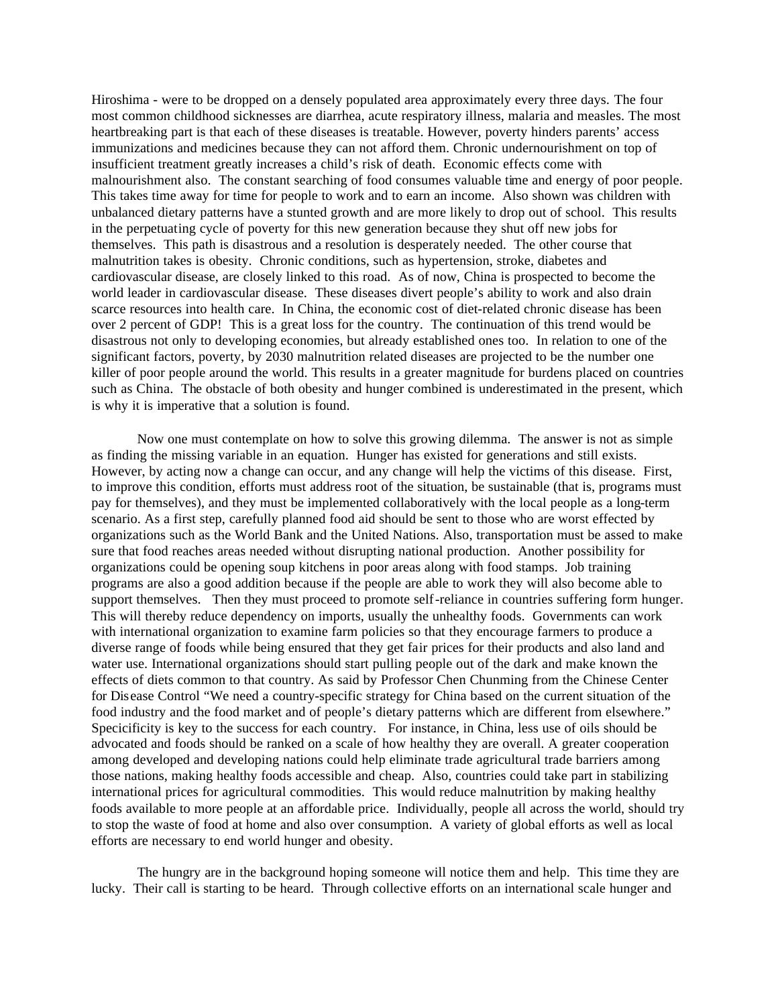Hiroshima - were to be dropped on a densely populated area approximately every three days. The four most common childhood sicknesses are diarrhea, acute respiratory illness, malaria and measles. The most heartbreaking part is that each of these diseases is treatable. However, poverty hinders parents' access immunizations and medicines because they can not afford them. Chronic undernourishment on top of insufficient treatment greatly increases a child's risk of death. Economic effects come with malnourishment also. The constant searching of food consumes valuable time and energy of poor people. This takes time away for time for people to work and to earn an income. Also shown was children with unbalanced dietary patterns have a stunted growth and are more likely to drop out of school. This results in the perpetuating cycle of poverty for this new generation because they shut off new jobs for themselves. This path is disastrous and a resolution is desperately needed. The other course that malnutrition takes is obesity. Chronic conditions, such as hypertension, stroke, diabetes and cardiovascular disease, are closely linked to this road. As of now, China is prospected to become the world leader in cardiovascular disease. These diseases divert people's ability to work and also drain scarce resources into health care. In China, the economic cost of diet-related chronic disease has been over 2 percent of GDP! This is a great loss for the country. The continuation of this trend would be disastrous not only to developing economies, but already established ones too. In relation to one of the significant factors, poverty, by 2030 malnutrition related diseases are projected to be the number one killer of poor people around the world. This results in a greater magnitude for burdens placed on countries such as China. The obstacle of both obesity and hunger combined is underestimated in the present, which is why it is imperative that a solution is found.

Now one must contemplate on how to solve this growing dilemma. The answer is not as simple as finding the missing variable in an equation. Hunger has existed for generations and still exists. However, by acting now a change can occur, and any change will help the victims of this disease. First, to improve this condition, efforts must address root of the situation, be sustainable (that is, programs must pay for themselves), and they must be implemented collaboratively with the local people as a long-term scenario. As a first step, carefully planned food aid should be sent to those who are worst effected by organizations such as the World Bank and the United Nations. Also, transportation must be assed to make sure that food reaches areas needed without disrupting national production. Another possibility for organizations could be opening soup kitchens in poor areas along with food stamps. Job training programs are also a good addition because if the people are able to work they will also become able to support themselves. Then they must proceed to promote self-reliance in countries suffering form hunger. This will thereby reduce dependency on imports, usually the unhealthy foods. Governments can work with international organization to examine farm policies so that they encourage farmers to produce a diverse range of foods while being ensured that they get fair prices for their products and also land and water use. International organizations should start pulling people out of the dark and make known the effects of diets common to that country. As said by Professor Chen Chunming from the Chinese Center for Disease Control "We need a country-specific strategy for China based on the current situation of the food industry and the food market and of people's dietary patterns which are different from elsewhere." Specicificity is key to the success for each country. For instance, in China, less use of oils should be advocated and foods should be ranked on a scale of how healthy they are overall. A greater cooperation among developed and developing nations could help eliminate trade agricultural trade barriers among those nations, making healthy foods accessible and cheap. Also, countries could take part in stabilizing international prices for agricultural commodities. This would reduce malnutrition by making healthy foods available to more people at an affordable price. Individually, people all across the world, should try to stop the waste of food at home and also over consumption. A variety of global efforts as well as local efforts are necessary to end world hunger and obesity.

The hungry are in the background hoping someone will notice them and help. This time they are lucky. Their call is starting to be heard. Through collective efforts on an international scale hunger and